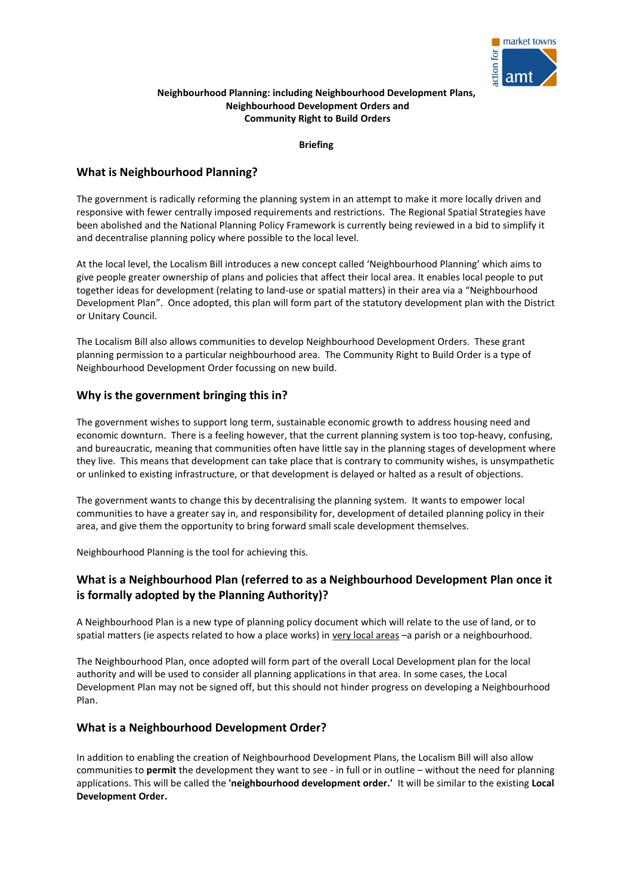

## **Neighbourhood Planning: including Neighbourhood Development Plans, Neighbourhood Development Orders and Community Right to Build Orders**

**Briefing**

# **What is Neighbourhood Planning?**

The government is radically reforming the planning system in an attempt to make it more locally driven and responsive with fewer centrally imposed requirements and restrictions. The Regional Spatial Strategies have been abolished and the National Planning Policy Framework is currently being reviewed in a bid to simplify it and decentralise planning policy where possible to the local level.

At the local level, the Localism Bill introduces a new concept called 'Neighbourhood Planning' which aims to give people greater ownership of plans and policies that affect their local area. It enables local people to put together ideas for development (relating to land-use or spatial matters) in their area via a "Neighbourhood Development Plan". Once adopted, this plan will form part of the statutory development plan with the District or Unitary Council.

The Localism Bill also allows communities to develop Neighbourhood Development Orders. These grant planning permission to a particular neighbourhood area. The Community Right to Build Order is a type of Neighbourhood Development Order focussing on new build.

# **Why is the government bringing this in?**

The government wishes to support long term, sustainable economic growth to address housing need and economic downturn. There is a feeling however, that the current planning system is too top-heavy, confusing, and bureaucratic, meaning that communities often have little say in the planning stages of development where they live. This means that development can take place that is contrary to community wishes, is unsympathetic or unlinked to existing infrastructure, or that development is delayed or halted as a result of objections.

The government wants to change this by decentralising the planning system. It wants to empower local communities to have a greater say in, and responsibility for, development of detailed planning policy in their area, and give them the opportunity to bring forward small scale development themselves.

Neighbourhood Planning is the tool for achieving this.

# **What is a Neighbourhood Plan (referred to as a Neighbourhood Development Plan once it is formally adopted by the Planning Authority)?**

A Neighbourhood Plan is a new type of planning policy document which will relate to the use of land, or to spatial matters (ie aspects related to how a place works) in very local areas -a parish or a neighbourhood.

The Neighbourhood Plan, once adopted will form part of the overall Local Development plan for the local authority and will be used to consider all planning applications in that area. In some cases, the Local Development Plan may not be signed off, but this should not hinder progress on developing a Neighbourhood Plan.

# **What is a Neighbourhood Development Order?**

In addition to enabling the creation of Neighbourhood Development Plans, the Localism Bill will also allow communities to **permit** the development they want to see - in full or in outline – without the need for planning applications. This will be called the **'neighbourhood development order.'** It will be similar to the existing **Local Development Order.**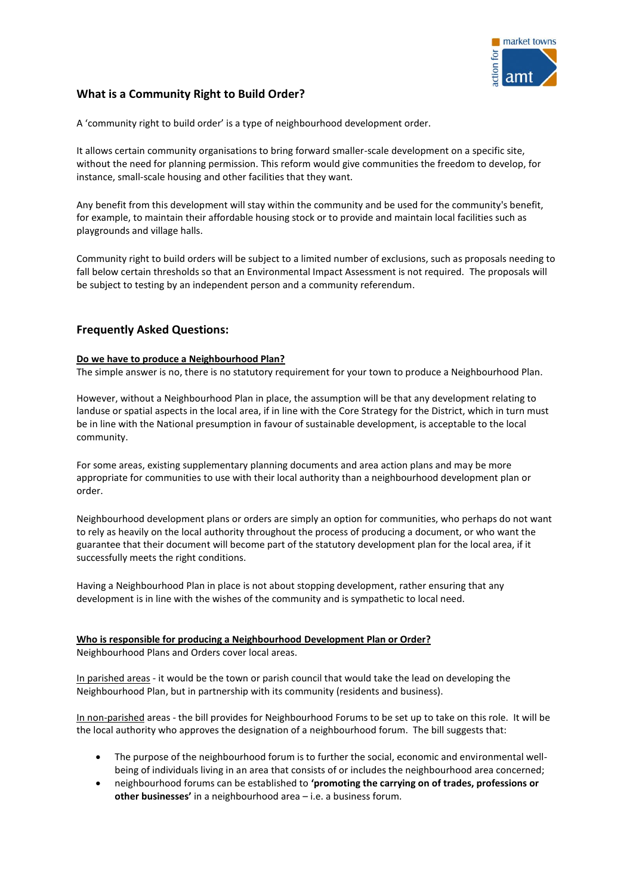

# **What is a Community Right to Build Order?**

A 'community right to build order' is a type of neighbourhood development order.

It allows certain community organisations to bring forward smaller-scale development on a specific site, without the need for planning permission. This reform would give communities the freedom to develop, for instance, small-scale housing and other facilities that they want.

Any benefit from this development will stay within the community and be used for the community's benefit, for example, to maintain their affordable housing stock or to provide and maintain local facilities such as playgrounds and village halls.

Community right to build orders will be subject to a limited number of exclusions, such as proposals needing to fall below certain thresholds so that an Environmental Impact Assessment is not required. The proposals will be subject to testing by an independent person and a community referendum.

# **Frequently Asked Questions:**

## **Do we have to produce a Neighbourhood Plan?**

The simple answer is no, there is no statutory requirement for your town to produce a Neighbourhood Plan.

However, without a Neighbourhood Plan in place, the assumption will be that any development relating to landuse or spatial aspects in the local area, if in line with the Core Strategy for the District, which in turn must be in line with the National presumption in favour of sustainable development, is acceptable to the local community.

For some areas, existing supplementary planning documents and area action plans and may be more appropriate for communities to use with their local authority than a neighbourhood development plan or order.

Neighbourhood development plans or orders are simply an option for communities, who perhaps do not want to rely as heavily on the local authority throughout the process of producing a document, or who want the guarantee that their document will become part of the statutory development plan for the local area, if it successfully meets the right conditions.

Having a Neighbourhood Plan in place is not about stopping development, rather ensuring that any development is in line with the wishes of the community and is sympathetic to local need.

# **Who is responsible for producing a Neighbourhood Development Plan or Order?**

Neighbourhood Plans and Orders cover local areas.

In parished areas - it would be the town or parish council that would take the lead on developing the Neighbourhood Plan, but in partnership with its community (residents and business).

In non-parished areas - the bill provides for Neighbourhood Forums to be set up to take on this role. It will be the local authority who approves the designation of a neighbourhood forum. The bill suggests that:

- The purpose of the neighbourhood forum is to further the social, economic and environmental wellbeing of individuals living in an area that consists of or includes the neighbourhood area concerned;
- neighbourhood forums can be established to **'promoting the carrying on of trades, professions or other businesses'** in a neighbourhood area – i.e. a business forum.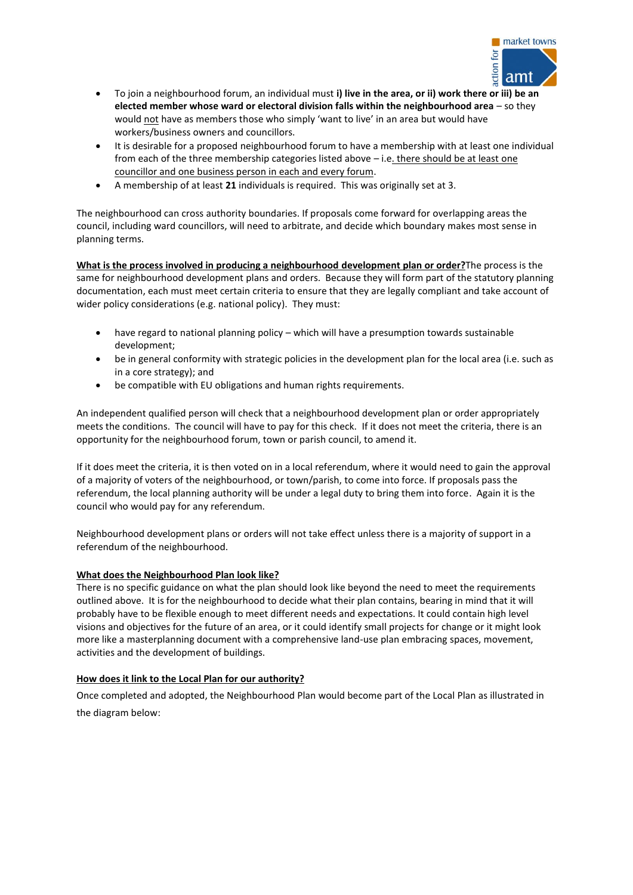

- To join a neighbourhood forum, an individual must **i) live in the area, or ii) work there or iii) be an elected member whose ward or electoral division falls within the neighbourhood area** – so they would not have as members those who simply 'want to live' in an area but would have workers/business owners and councillors.
- It is desirable for a proposed neighbourhood forum to have a membership with at least one individual from each of the three membership categories listed above - i.e. there should be at least one councillor and one business person in each and every forum.
- A membership of at least **21** individuals is required. This was originally set at 3.

The neighbourhood can cross authority boundaries. If proposals come forward for overlapping areas the council, including ward councillors, will need to arbitrate, and decide which boundary makes most sense in planning terms.

**What is the process involved in producing a neighbourhood development plan or order?**The process is the same for neighbourhood development plans and orders. Because they will form part of the statutory planning documentation, each must meet certain criteria to ensure that they are legally compliant and take account of wider policy considerations (e.g. national policy). They must:

- have regard to national planning policy which will have a presumption towards sustainable development;
- be in general conformity with strategic policies in the development plan for the local area (i.e. such as in a core strategy); and
- be compatible with EU obligations and human rights requirements.

An independent qualified person will check that a neighbourhood development plan or order appropriately meets the conditions. The council will have to pay for this check. If it does not meet the criteria, there is an opportunity for the neighbourhood forum, town or parish council, to amend it.

If it does meet the criteria, it is then voted on in a local referendum, where it would need to gain the approval of a majority of voters of the neighbourhood, or town/parish, to come into force. If proposals pass the referendum, the local planning authority will be under a legal duty to bring them into force. Again it is the council who would pay for any referendum.

Neighbourhood development plans or orders will not take effect unless there is a majority of support in a referendum of the neighbourhood.

# **What does the Neighbourhood Plan look like?**

There is no specific guidance on what the plan should look like beyond the need to meet the requirements outlined above. It is for the neighbourhood to decide what their plan contains, bearing in mind that it will probably have to be flexible enough to meet different needs and expectations. It could contain high level visions and objectives for the future of an area, or it could identify small projects for change or it might look more like a masterplanning document with a comprehensive land-use plan embracing spaces, movement, activities and the development of buildings.

# **How does it link to the Local Plan for our authority?**

Once completed and adopted, the Neighbourhood Plan would become part of the Local Plan as illustrated in the diagram below: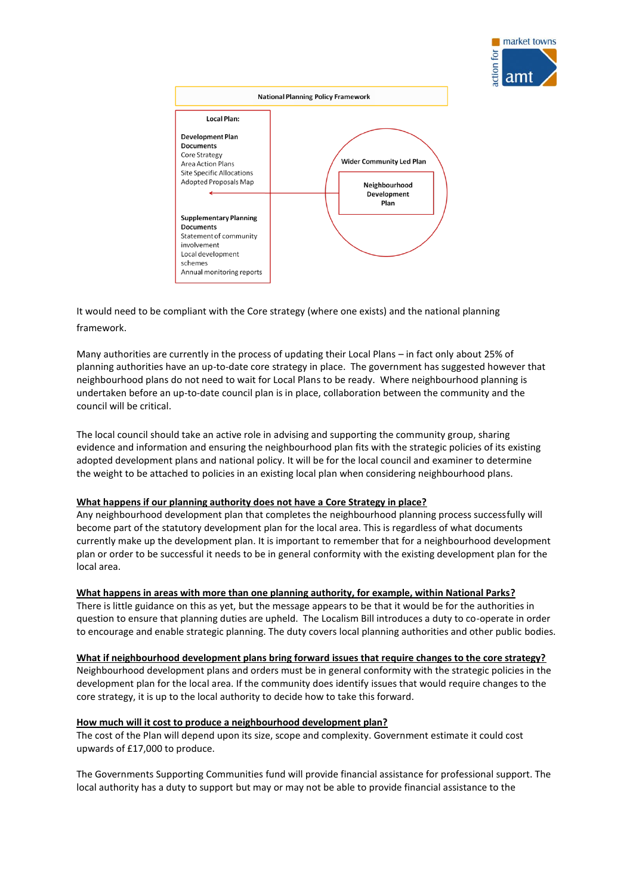



It would need to be compliant with the Core strategy (where one exists) and the national planning framework.

Many authorities are currently in the process of updating their Local Plans – in fact only about 25% of planning authorities have an up-to-date core strategy in place. The government has suggested however that neighbourhood plans do not need to wait for Local Plans to be ready. Where neighbourhood planning is undertaken before an up-to-date council plan is in place, collaboration between the community and the council will be critical.

The local council should take an active role in advising and supporting the community group, sharing evidence and information and ensuring the neighbourhood plan fits with the strategic policies of its existing adopted development plans and national policy. It will be for the local council and examiner to determine the weight to be attached to policies in an existing local plan when considering neighbourhood plans.

### **What happens if our planning authority does not have a Core Strategy in place?**

Any neighbourhood development plan that completes the neighbourhood planning process successfully will become part of the statutory development plan for the local area. This is regardless of what documents currently make up the development plan. It is important to remember that for a neighbourhood development plan or order to be successful it needs to be in general conformity with the existing development plan for the local area.

#### **What happens in areas with more than one planning authority, for example, within National Parks?**

There is little guidance on this as yet, but the message appears to be that it would be for the authorities in question to ensure that planning duties are upheld. The Localism Bill introduces a duty to co-operate in order to encourage and enable strategic planning. The duty covers local planning authorities and other public bodies.

**What if neighbourhood development plans bring forward issues that require changes to the core strategy?** 

Neighbourhood development plans and orders must be in general conformity with the strategic policies in the development plan for the local area. If the community does identify issues that would require changes to the core strategy, it is up to the local authority to decide how to take this forward.

#### **How much will it cost to produce a neighbourhood development plan?**

The cost of the Plan will depend upon its size, scope and complexity. Government estimate it could cost upwards of £17,000 to produce.

The Governments Supporting Communities fund will provide financial assistance for professional support. The local authority has a duty to support but may or may not be able to provide financial assistance to the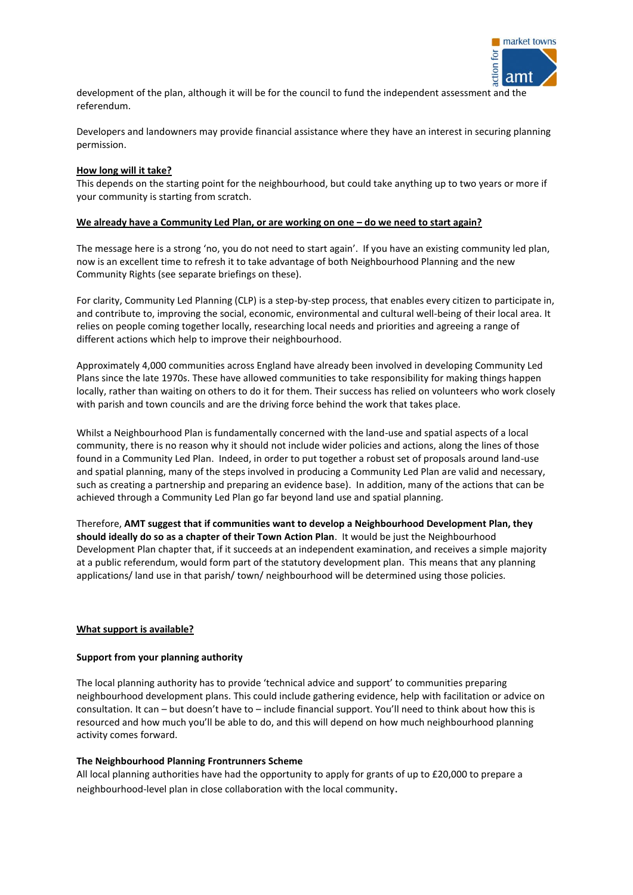

development of the plan, although it will be for the council to fund the independent assessment and the referendum.

Developers and landowners may provide financial assistance where they have an interest in securing planning permission.

#### **How long will it take?**

This depends on the starting point for the neighbourhood, but could take anything up to two years or more if your community is starting from scratch.

#### **We already have a Community Led Plan, or are working on one – do we need to start again?**

The message here is a strong 'no, you do not need to start again'. If you have an existing community led plan, now is an excellent time to refresh it to take advantage of both Neighbourhood Planning and the new Community Rights (see separate briefings on these).

For clarity, Community Led Planning (CLP) is a step-by-step process, that enables every citizen to participate in, and contribute to, improving the social, economic, environmental and cultural well-being of their local area. It relies on people coming together locally, researching local needs and priorities and agreeing a range of different actions which help to improve their neighbourhood.

Approximately 4,000 communities across England have already been involved in developing Community Led Plans since the late 1970s. These have allowed communities to take responsibility for making things happen locally, rather than waiting on others to do it for them. Their success has relied on volunteers who work closely with parish and town councils and are the driving force behind the work that takes place.

Whilst a Neighbourhood Plan is fundamentally concerned with the land-use and spatial aspects of a local community, there is no reason why it should not include wider policies and actions, along the lines of those found in a Community Led Plan. Indeed, in order to put together a robust set of proposals around land-use and spatial planning, many of the steps involved in producing a Community Led Plan are valid and necessary, such as creating a partnership and preparing an evidence base). In addition, many of the actions that can be achieved through a Community Led Plan go far beyond land use and spatial planning.

Therefore, **AMT suggest that if communities want to develop a Neighbourhood Development Plan, they should ideally do so as a chapter of their Town Action Plan**. It would be just the Neighbourhood Development Plan chapter that, if it succeeds at an independent examination, and receives a simple majority at a public referendum, would form part of the statutory development plan. This means that any planning applications/ land use in that parish/ town/ neighbourhood will be determined using those policies.

#### **What support is available?**

#### **Support from your planning authority**

The local planning authority has to provide 'technical advice and support' to communities preparing neighbourhood development plans. This could include gathering evidence, help with facilitation or advice on consultation. It can – but doesn't have to – include financial support. You'll need to think about how this is resourced and how much you'll be able to do, and this will depend on how much neighbourhood planning activity comes forward.

### **The Neighbourhood Planning Frontrunners Scheme**

All local planning authorities have had the opportunity to apply for grants of up to £20,000 to prepare a neighbourhood-level plan in close collaboration with the local community.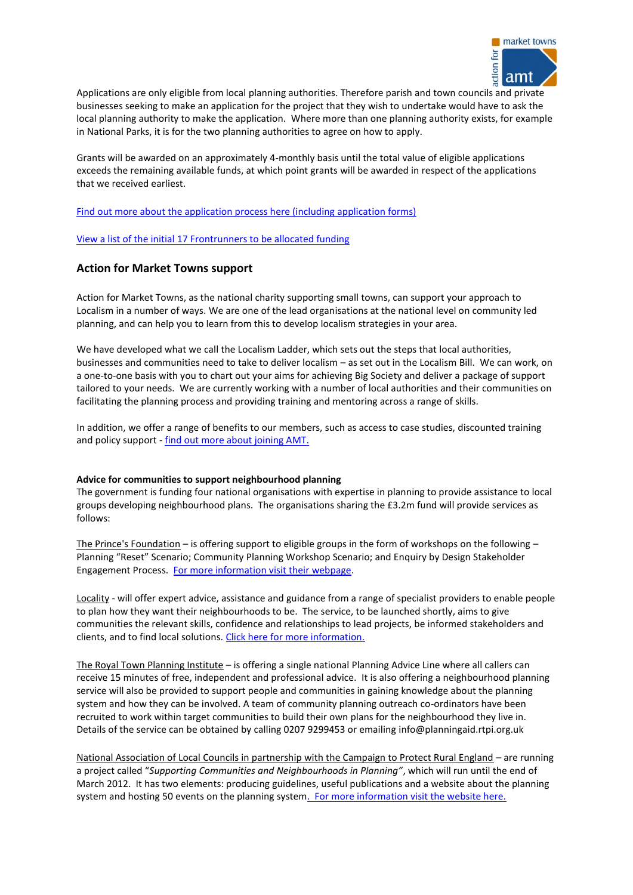

Applications are only eligible from local planning authorities. Therefore parish and town councils and private businesses seeking to make an application for the project that they wish to undertake would have to ask the local planning authority to make the application. Where more than one planning authority exists, for example in National Parks, it is for the two planning authorities to agree on how to apply.

Grants will be awarded on an approximately 4-monthly basis until the total value of eligible applications exceeds the remaining available funds, at which point grants will be awarded in respect of the applications that we received earliest.

[Find out more about the application process here \(including application forms\)](http://www.communities.gov.uk/planningandbuilding/planningsystem/neighbourhoodplanningvanguards/)

[View a list of the initial 17 Frontrunners to be allocated funding](http://www.communities.gov.uk/news/corporate/1879129)

# **Action for Market Towns support**

Action for Market Towns, as the national charity supporting small towns, can support your approach to Localism in a number of ways. We are one of the lead organisations at the national level on community led planning, and can help you to learn from this to develop localism strategies in your area.

We have developed what we call the Localism Ladder, which sets out the steps that local authorities, businesses and communities need to take to deliver localism – as set out in the Localism Bill. We can work, on a one-to-one basis with you to chart out your aims for achieving Big Society and deliver a package of support tailored to your needs. We are currently working with a number of local authorities and their communities on facilitating the planning process and providing training and mentoring across a range of skills.

In addition, we offer a range of benefits to our members, such as access to case studies, discounted training and policy support - [find out more about joining AMT.](http://members.towns.org.uk/members/services/) 

#### **Advice for communities to support neighbourhood planning**

The government is funding four national organisations with expertise in planning to provide assistance to local groups developing neighbourhood plans. The organisations sharing the £3.2m fund will provide services as follows:

The Prince's Foundation – is offering support to eligible groups in the form of workshops on the following – Planning "Reset" Scenario; Community Planning Workshop Scenario; and Enquiry by Design Stakeholder Engagement Process. [For more information visit their webpage.](http://www.princes-foundation.org/our-work/supporting-communities-and-neighbourhoods-planning)

Locality - will offer expert advice, assistance and guidance from a range of specialist providers to enable people to plan how they want their neighbourhoods to be. The service, to be launched shortly, aims to give communities the relevant skills, confidence and relationships to lead projects, be informed stakeholders and clients, and to find local solutions. [Click here for more information.](http://locality.org.uk/projects/neighbourhood-planning/)

The Royal Town Planning Institute – is offering a single national Planning Advice Line where all callers can receive 15 minutes of free, independent and professional advice. It is also offering a neighbourhood planning service will also be provided to support people and communities in gaining knowledge about the planning system and how they can be involved. A team of community planning outreach co-ordinators have been recruited to work within target communities to build their own plans for the neighbourhood they live in. Details of the service can be obtained by calling 0207 9299453 or emailing [info@planningaid.rtpi.org.uk](mailto:info@planningaid.rtpi.org.uk)

National Association of Local Councils in partnership with the Campaign to Protect Rural England – are running a project called "*Supporting Communities and Neighbourhoods in Planning"*, which will run until the end of March 2012. It has two elements: producing guidelines, useful publications and a website about the planning system and hosting 50 events on the planning syste[m. For more information visit the website here.](http://www.cpre.org.uk/magazine/features/item/2350-planning-help-supporting-communities-and-neighbourhoods-in-planning)